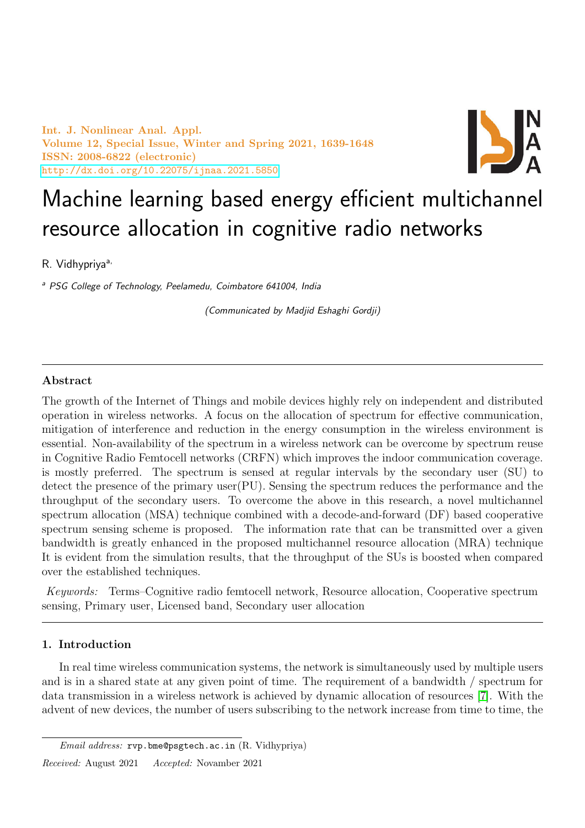Int. J. Nonlinear Anal. Appl. Volume 12, Special Issue, Winter and Spring 2021, 1639-1648 ISSN: 2008-6822 (electronic) <http://dx.doi.org/10.22075/ijnaa.2021.5850>



# Machine learning based energy efficient multichannel resource allocation in cognitive radio networks

R. Vidhypriya<sup>a,</sup>

<sup>a</sup> PSG College of Technology, Peelamedu, Coimbatore 641004, India

(Communicated by Madjid Eshaghi Gordji)

# Abstract

The growth of the Internet of Things and mobile devices highly rely on independent and distributed operation in wireless networks. A focus on the allocation of spectrum for effective communication, mitigation of interference and reduction in the energy consumption in the wireless environment is essential. Non-availability of the spectrum in a wireless network can be overcome by spectrum reuse in Cognitive Radio Femtocell networks (CRFN) which improves the indoor communication coverage. is mostly preferred. The spectrum is sensed at regular intervals by the secondary user (SU) to detect the presence of the primary user $(PU)$ . Sensing the spectrum reduces the performance and the throughput of the secondary users. To overcome the above in this research, a novel multichannel spectrum allocation (MSA) technique combined with a decode-and-forward (DF) based cooperative spectrum sensing scheme is proposed. The information rate that can be transmitted over a given bandwidth is greatly enhanced in the proposed multichannel resource allocation (MRA) technique It is evident from the simulation results, that the throughput of the SUs is boosted when compared over the established techniques.

Keywords: Terms–Cognitive radio femtocell network, Resource allocation, Cooperative spectrum sensing, Primary user, Licensed band, Secondary user allocation

# 1. Introduction

In real time wireless communication systems, the network is simultaneously used by multiple users and is in a shared state at any given point of time. The requirement of a bandwidth / spectrum for data transmission in a wireless network is achieved by dynamic allocation of resources [\[7\]](#page-9-0). With the advent of new devices, the number of users subscribing to the network increase from time to time, the

Received: August 2021 Accepted: Novamber 2021

Email address: rvp.bme@psgtech.ac.in (R. Vidhypriya)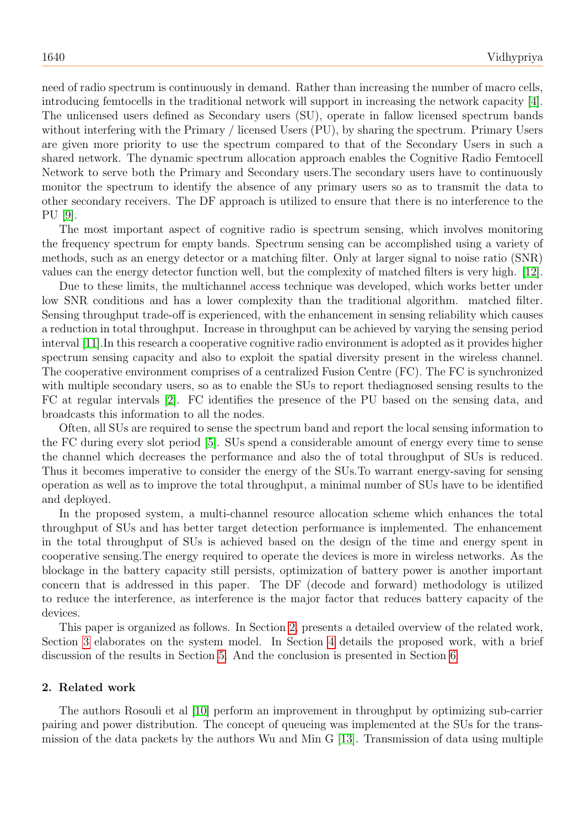need of radio spectrum is continuously in demand. Rather than increasing the number of macro cells, introducing femtocells in the traditional network will support in increasing the network capacity [\[4\]](#page-9-1). The unlicensed users defined as Secondary users (SU), operate in fallow licensed spectrum bands without interfering with the Primary / licensed Users (PU), by sharing the spectrum. Primary Users are given more priority to use the spectrum compared to that of the Secondary Users in such a shared network. The dynamic spectrum allocation approach enables the Cognitive Radio Femtocell Network to serve both the Primary and Secondary users.The secondary users have to continuously monitor the spectrum to identify the absence of any primary users so as to transmit the data to other secondary receivers. The DF approach is utilized to ensure that there is no interference to the PU [\[9\]](#page-9-2).

The most important aspect of cognitive radio is spectrum sensing, which involves monitoring the frequency spectrum for empty bands. Spectrum sensing can be accomplished using a variety of methods, such as an energy detector or a matching filter. Only at larger signal to noise ratio (SNR) values can the energy detector function well, but the complexity of matched filters is very high. [\[12\]](#page-9-3).

Due to these limits, the multichannel access technique was developed, which works better under low SNR conditions and has a lower complexity than the traditional algorithm. matched filter. Sensing throughput trade-off is experienced, with the enhancement in sensing reliability which causes a reduction in total throughput. Increase in throughput can be achieved by varying the sensing period interval [\[11\]](#page-9-4).In this research a cooperative cognitive radio environment is adopted as it provides higher spectrum sensing capacity and also to exploit the spatial diversity present in the wireless channel. The cooperative environment comprises of a centralized Fusion Centre (FC). The FC is synchronized with multiple secondary users, so as to enable the SUs to report thediagnosed sensing results to the FC at regular intervals [\[2\]](#page-9-5). FC identifies the presence of the PU based on the sensing data, and broadcasts this information to all the nodes.

Often, all SUs are required to sense the spectrum band and report the local sensing information to the FC during every slot period [\[5\]](#page-9-6). SUs spend a considerable amount of energy every time to sense the channel which decreases the performance and also the of total throughput of SUs is reduced. Thus it becomes imperative to consider the energy of the SUs.To warrant energy-saving for sensing operation as well as to improve the total throughput, a minimal number of SUs have to be identified and deployed.

In the proposed system, a multi-channel resource allocation scheme which enhances the total throughput of SUs and has better target detection performance is implemented. The enhancement in the total throughput of SUs is achieved based on the design of the time and energy spent in cooperative sensing.The energy required to operate the devices is more in wireless networks. As the blockage in the battery capacity still persists, optimization of battery power is another important concern that is addressed in this paper. The DF (decode and forward) methodology is utilized to reduce the interference, as interference is the major factor that reduces battery capacity of the devices.

This paper is organized as follows. In Section [2,](#page-1-0) presents a detailed overview of the related work, Section [3](#page-2-0) elaborates on the system model. In Section [4](#page-4-0) details the proposed work, with a brief discussion of the results in Section [5.](#page-6-0) And the conclusion is presented in Section [6.](#page-6-1)

## <span id="page-1-0"></span>2. Related work

The authors Rosouli et al [\[10\]](#page-9-7) perform an improvement in throughput by optimizing sub-carrier pairing and power distribution. The concept of queueing was implemented at the SUs for the transmission of the data packets by the authors Wu and Min G [\[13\]](#page-9-8). Transmission of data using multiple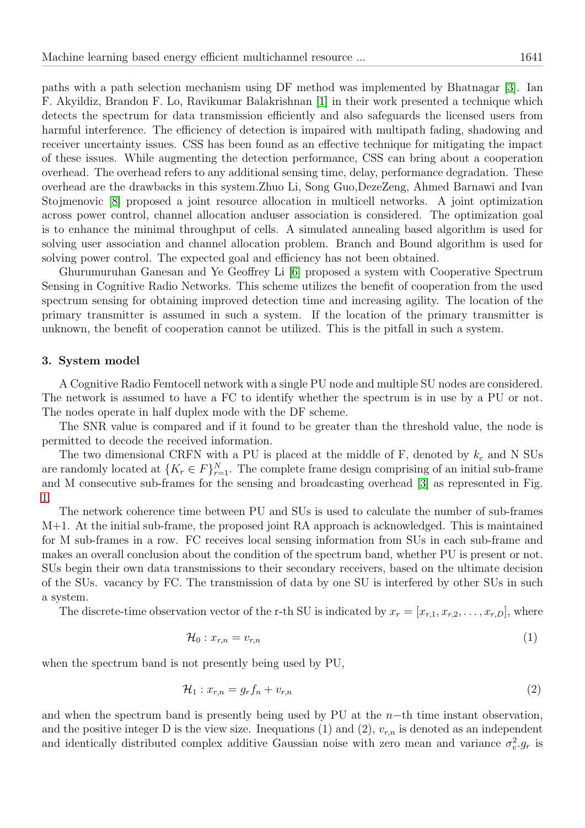paths with a path selection mechanism using DF method was implemented by Bhatnagar [\[3\]](#page-9-9). Ian F. Akyildiz, Brandon F. Lo, Ravikumar Balakrishnan [\[1\]](#page-9-10) in their work presented a technique which detects the spectrum for data transmission efficiently and also safeguards the licensed users from harmful interference. The efficiency of detection is impaired with multipath fading, shadowing and receiver uncertainty issues. CSS has been found as an effective technique for mitigating the impact of these issues. While augmenting the detection performance, CSS can bring about a cooperation overhead. The overhead refers to any additional sensing time, delay, performance degradation. These overhead are the drawbacks in this system.Zhuo Li, Song Guo,DezeZeng, Ahmed Barnawi and Ivan Stojmenovic [\[8\]](#page-9-11) proposed a joint resource allocation in multicell networks. A joint optimization across power control, channel allocation anduser association is considered. The optimization goal is to enhance the minimal throughput of cells. A simulated annealing based algorithm is used for solving user association and channel allocation problem. Branch and Bound algorithm is used for solving power control. The expected goal and efficiency has not been obtained.

Ghurumuruhan Ganesan and Ye Geoffrey Li [\[6\]](#page-9-12) proposed a system with Cooperative Spectrum Sensing in Cognitive Radio Networks. This scheme utilizes the benefit of cooperation from the used spectrum sensing for obtaining improved detection time and increasing agility. The location of the primary transmitter is assumed in such a system. If the location of the primary transmitter is unknown, the benefit of cooperation cannot be utilized. This is the pitfall in such a system.

#### <span id="page-2-0"></span>3. System model

A Cognitive Radio Femtocell network with a single PU node and multiple SU nodes are considered. The network is assumed to have a FC to identify whether the spectrum is in use by a PU or not. The nodes operate in half duplex mode with the DF scheme.

The SNR value is compared and if it found to be greater than the threshold value, the node is permitted to decode the received information.

The two dimensional CRFN with a PU is placed at the middle of F, denoted by  $k_c$  and N SUs are randomly located at  $\{K_r \in F\}_{r=1}^N$ . The complete frame design comprising of an initial sub-frame and M consecutive sub-frames for the sensing and broadcasting overhead [\[3\]](#page-9-9) as represented in Fig. [1.](#page-7-0)

The network coherence time between PU and SUs is used to calculate the number of sub-frames M+1. At the initial sub-frame, the proposed joint RA approach is acknowledged. This is maintained for M sub-frames in a row. FC receives local sensing information from SUs in each sub-frame and makes an overall conclusion about the condition of the spectrum band, whether PU is present or not. SUs begin their own data transmissions to their secondary receivers, based on the ultimate decision of the SUs. vacancy by FC. The transmission of data by one SU is interfered by other SUs in such a system.

The discrete-time observation vector of the r-th SU is indicated by  $x_r = [x_{r,1}, x_{r,2}, \ldots, x_{r,D}]$ , where

$$
\mathcal{H}_0: x_{r,n} = v_{r,n} \tag{1}
$$

when the spectrum band is not presently being used by PU,

$$
\mathcal{H}_1: x_{r,n} = g_r f_n + v_{r,n} \tag{2}
$$

and when the spectrum band is presently being used by PU at the  $n$ -th time instant observation, and the positive integer D is the view size. Inequations (1) and (2),  $v_{r,n}$  is denoted as an independent and identically distributed complex additive Gaussian noise with zero mean and variance  $\sigma_v^2 g_r$  is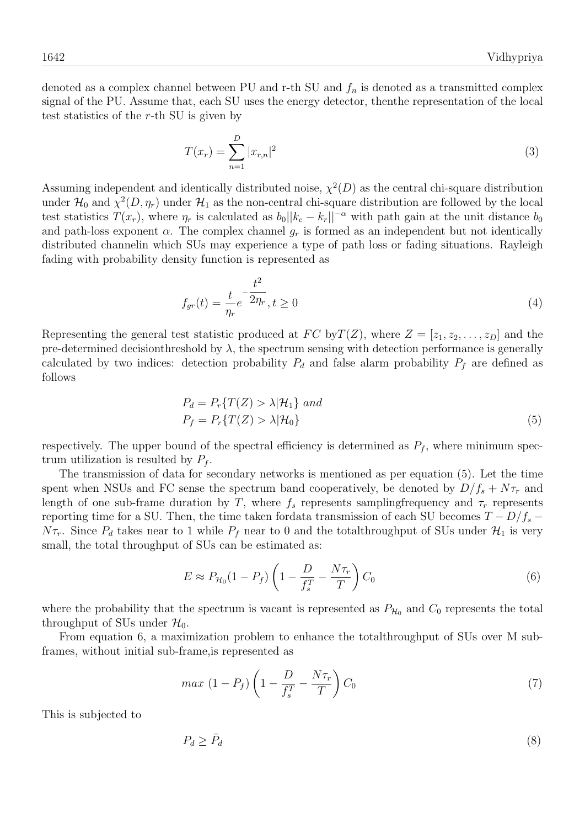denoted as a complex channel between PU and r-th SU and  $f_n$  is denoted as a transmitted complex signal of the PU. Assume that, each SU uses the energy detector, thenthe representation of the local test statistics of the r-th SU is given by

$$
T(x_r) = \sum_{n=1}^{D} |x_{r,n}|^2
$$
\n(3)

Assuming independent and identically distributed noise,  $\chi^2(D)$  as the central chi-square distribution under  $\mathcal{H}_0$  and  $\chi^2(D, \eta_r)$  under  $\mathcal{H}_1$  as the non-central chi-square distribution are followed by the local test statistics  $T(x_r)$ , where  $\eta_r$  is calculated as  $b_0\|k_c - k_r\|^{-\alpha}$  with path gain at the unit distance  $b_0$ and path-loss exponent  $\alpha$ . The complex channel  $g_r$  is formed as an independent but not identically distributed channelin which SUs may experience a type of path loss or fading situations. Rayleigh fading with probability density function is represented as

$$
f_{gr}(t) = \frac{t}{\eta_r} e^{-\frac{t^2}{2\eta_r}}, t \ge 0
$$
\n
$$
\tag{4}
$$

Representing the general test statistic produced at  $FC$  by  $T(Z)$ , where  $Z = [z_1, z_2, \ldots, z_D]$  and the pre-determined decisionthreshold by  $\lambda$ , the spectrum sensing with detection performance is generally calculated by two indices: detection probability  $P_d$  and false alarm probability  $P_f$  are defined as follows

$$
P_d = P_r\{T(Z) > \lambda | \mathcal{H}_1\} \text{ and}
$$
  
\n
$$
P_f = P_r\{T(Z) > \lambda | \mathcal{H}_0\}
$$
\n(5)

respectively. The upper bound of the spectral efficiency is determined as  $P_f$ , where minimum spectrum utilization is resulted by  $P_f$ .

The transmission of data for secondary networks is mentioned as per equation (5). Let the time spent when NSUs and FC sense the spectrum band cooperatively, be denoted by  $D/f_s + N\tau_r$  and length of one sub-frame duration by T, where  $f_s$  represents samplingfrequency and  $\tau_r$  represents reporting time for a SU. Then, the time taken fordata transmission of each SU becomes  $T - D/f_s$  –  $N\tau_r$ . Since  $P_d$  takes near to 1 while  $P_f$  near to 0 and the totalthroughput of SUs under  $\mathcal{H}_1$  is very small, the total throughput of SUs can be estimated as:

$$
E \approx P_{\mathcal{H}_0}(1 - P_f) \left(1 - \frac{D}{f_s^T} - \frac{N\tau_r}{T}\right) C_0 \tag{6}
$$

where the probability that the spectrum is vacant is represented as  $P_{\mathcal{H}_0}$  and  $C_0$  represents the total throughput of SUs under  $\mathcal{H}_0$ .

From equation 6, a maximization problem to enhance the totalthroughput of SUs over M subframes, without initial sub-frame,is represented as

$$
max\ (1 - P_f)\left(1 - \frac{D}{f_s^T} - \frac{N\tau_r}{T}\right)C_0\tag{7}
$$

This is subjected to

$$
P_d \ge \bar{P}_d \tag{8}
$$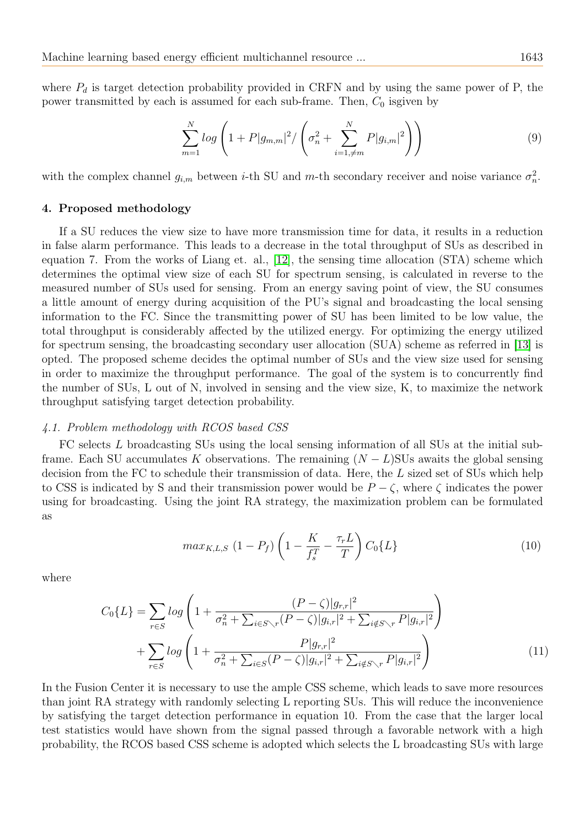where  $P_d$  is target detection probability provided in CRFN and by using the same power of P, the power transmitted by each is assumed for each sub-frame. Then,  $C_0$  isgiven by

$$
\sum_{m=1}^{N} \log \left( 1 + P |g_{m,m}|^2 / \left( \sigma_n^2 + \sum_{i=1,\neq m}^{N} P |g_{i,m}|^2 \right) \right) \tag{9}
$$

with the complex channel  $g_{i,m}$  between *i*-th SU and *m*-th secondary receiver and noise variance  $\sigma_n^2$ .

#### <span id="page-4-0"></span>4. Proposed methodology

If a SU reduces the view size to have more transmission time for data, it results in a reduction in false alarm performance. This leads to a decrease in the total throughput of SUs as described in equation 7. From the works of Liang et. al., [\[12\]](#page-9-3), the sensing time allocation (STA) scheme which determines the optimal view size of each SU for spectrum sensing, is calculated in reverse to the measured number of SUs used for sensing. From an energy saving point of view, the SU consumes a little amount of energy during acquisition of the PU's signal and broadcasting the local sensing information to the FC. Since the transmitting power of SU has been limited to be low value, the total throughput is considerably affected by the utilized energy. For optimizing the energy utilized for spectrum sensing, the broadcasting secondary user allocation (SUA) scheme as referred in [\[13\]](#page-9-8) is opted. The proposed scheme decides the optimal number of SUs and the view size used for sensing in order to maximize the throughput performance. The goal of the system is to concurrently find the number of SUs, L out of N, involved in sensing and the view size, K, to maximize the network throughput satisfying target detection probability.

## 4.1. Problem methodology with RCOS based CSS

FC selects L broadcasting SUs using the local sensing information of all SUs at the initial subframe. Each SU accumulates K observations. The remaining  $(N - L)$ SUs awaits the global sensing decision from the FC to schedule their transmission of data. Here, the L sized set of SUs which help to CSS is indicated by S and their transmission power would be  $P - \zeta$ , where  $\zeta$  indicates the power using for broadcasting. Using the joint RA strategy, the maximization problem can be formulated as

$$
max_{K,L,S} (1 - P_f) \left( 1 - \frac{K}{f_s^T} - \frac{\tau_r L}{T} \right) C_0 \{ L \}
$$
 (10)

where

$$
C_0\{L\} = \sum_{r \in S} \log \left( 1 + \frac{(P - \zeta)|g_{r,r}|^2}{\sigma_n^2 + \sum_{i \in S \setminus r} (P - \zeta)|g_{i,r}|^2 + \sum_{i \notin S \setminus r} P|g_{i,r}|^2} \right) + \sum_{r \in S} \log \left( 1 + \frac{P|g_{r,r}|^2}{\sigma_n^2 + \sum_{i \in S} (P - \zeta)|g_{i,r}|^2 + \sum_{i \notin S \setminus r} P|g_{i,r}|^2} \right) \tag{11}
$$

In the Fusion Center it is necessary to use the ample CSS scheme, which leads to save more resources than joint RA strategy with randomly selecting L reporting SUs. This will reduce the inconvenience by satisfying the target detection performance in equation 10. From the case that the larger local test statistics would have shown from the signal passed through a favorable network with a high probability, the RCOS based CSS scheme is adopted which selects the L broadcasting SUs with large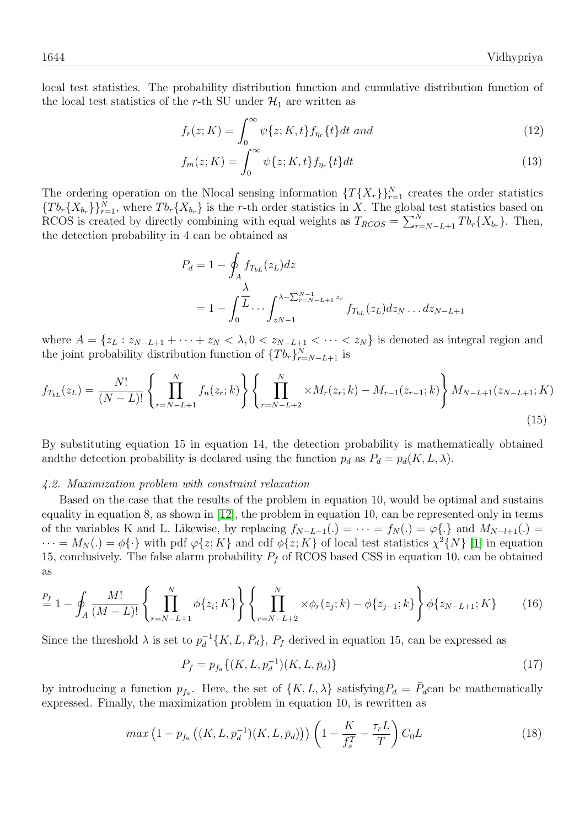local test statistics. The probability distribution function and cumulative distribution function of the local test statistics of the r-th SU under  $\mathcal{H}_1$  are written as

$$
f_r(z;K) = \int_0^\infty \psi\{z;K,t\} f_{\eta_r}\{t\} dt \text{ and } \tag{12}
$$

$$
f_m(z;K) = \int_0^\infty \psi\{z;K,t\} f_{\eta_r}\{t\} dt
$$
\n(13)

The ordering operation on the Nlocal sensing information  $\{T\{X_r\}\}_{r=1}^N$  creates the order statistics  ${Tb_r{X_{b_r}}}\}_{r=1}^N$ , where  $Tb_r{X_{b_r}}$  is the r-th order statistics in X. The global test statistics based on RCOS is created by directly combining with equal weights as  $T_{RCOS} = \sum_{r=N-L+1}^{N} T b_r \{X_{b_r}\}.$  Then, the detection probability in 4 can be obtained as

$$
P_d = 1 - \oint_A f_{T_{bL}}(z_L) dz
$$
  
=  $1 - \int_0^{\overline{L}} \cdots \int_{zN-1}^{\lambda - \sum_{r=N-L+1}^{N-1} z_r} f_{T_{bL}}(z_L) dz_N \dots dz_{N-L+1}$ 

where  $A = \{z_L : z_{N-L+1} + \cdots + z_N < \lambda, 0 < z_{N-L+1} < \cdots < z_N\}$  is denoted as integral region and the joint probability distribution function of  $\{Tb_r\}_{r=N-L+1}^N$  is

$$
f_{T_{bL}}(z_L) = \frac{N!}{(N-L)!} \left\{ \prod_{r=N-L+1}^{N} f_n(z_r; k) \right\} \left\{ \prod_{r=N-L+2}^{N} \times M_r(z_r; k) - M_{r-1}(z_{r-1}; k) \right\} M_{N-L+1}(z_{N-L+1}; K)
$$
\n(15)

By substituting equation 15 in equation 14, the detection probability is mathematically obtained and the detection probability is declared using the function  $p_d$  as  $P_d = p_d(K, L, \lambda)$ .

## 4.2. Maximization problem with constraint relaxation

Based on the case that the results of the problem in equation 10, would be optimal and sustains equality in equation 8, as shown in [\[12\]](#page-9-3), the problem in equation 10, can be represented only in terms of the variables K and L. Likewise, by replacing  $f_{N-L+1}(.) = \cdots = f_N(.) = \varphi\{.\}\$ and  $M_{N-L+1}(.) =$  $\cdots = M_N(.) = \phi\{\cdot\}$  with pdf  $\varphi\{z; K\}$  and cdf  $\phi\{z; K\}$  of local test statistics  $\chi^2\{N\}$  [\[1\]](#page-9-10) in equation 15, conclusively. The false alarm probability  $P_f$  of RCOS based CSS in equation 10, can be obtained as

$$
\stackrel{P_f}{=} 1 - \oint_A \frac{M!}{(M-L)!} \left\{ \prod_{r=N-L+1}^N \phi\{z_i; K\} \right\} \left\{ \prod_{r=N-L+2}^N \times \phi_r(z_j; k) - \phi\{z_{j-1}; k\} \right\} \phi\{z_{N-L+1}; K \}
$$
(16)

Since the threshold  $\lambda$  is set to  $p_d^{-1}$  $d_d^{-1}{K, L, \bar{P}_d}, P_f$  derived in equation 15, can be expressed as

$$
P_f = p_{f_a}\{(K, L, p_d^{-1})(K, L, \bar{p}_d)\}\tag{17}
$$

by introducing a function  $p_{f_a}$ . Here, the set of  $\{K, L, \lambda\}$  satisfying  $P_d = \overline{P}_d$ can be mathematically expressed. Finally, the maximization problem in equation 10, is rewritten as

$$
max (1 - p_{f_a} ((K, L, p_d^{-1})(K, L, \bar{p}_d))) \left( 1 - \frac{K}{f_s^T} - \frac{\tau_r L}{T} \right) C_0 L \tag{18}
$$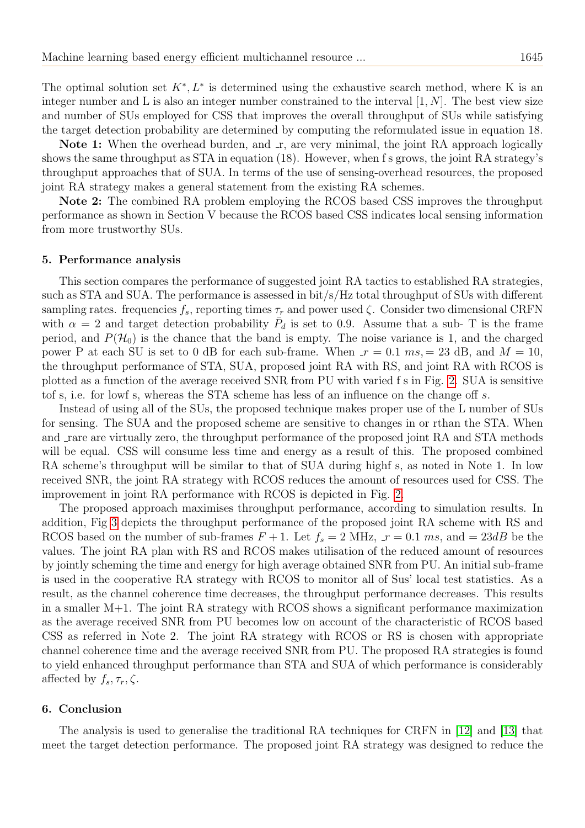The optimal solution set  $K^*, L^*$  is determined using the exhaustive search method, where K is an integer number and L is also an integer number constrained to the interval  $[1, N]$ . The best view size and number of SUs employed for CSS that improves the overall throughput of SUs while satisfying the target detection probability are determined by computing the reformulated issue in equation 18.

Note 1: When the overhead burden, and  $\mathbf{r}$ , are very minimal, the joint RA approach logically shows the same throughput as STA in equation (18). However, when f s grows, the joint RA strategy's throughput approaches that of SUA. In terms of the use of sensing-overhead resources, the proposed joint RA strategy makes a general statement from the existing RA schemes.

Note 2: The combined RA problem employing the RCOS based CSS improves the throughput performance as shown in Section V because the RCOS based CSS indicates local sensing information from more trustworthy SUs.

#### <span id="page-6-0"></span>5. Performance analysis

This section compares the performance of suggested joint RA tactics to established RA strategies, such as STA and SUA. The performance is assessed in bit/s/Hz total throughput of SUs with different sampling rates. frequencies  $f_s$ , reporting times  $\tau_r$  and power used  $\zeta$ . Consider two dimensional CRFN with  $\alpha = 2$  and target detection probability  $\bar{P}_d$  is set to 0.9. Assume that a sub- T is the frame period, and  $P(\mathcal{H}_0)$  is the chance that the band is empty. The noise variance is 1, and the charged power P at each SU is set to 0 dB for each sub-frame. When  $r = 0.1$  ms,  $= 23$  dB, and  $M = 10$ , the throughput performance of STA, SUA, proposed joint RA with RS, and joint RA with RCOS is plotted as a function of the average received SNR from PU with varied f s in Fig. [2.](#page-8-0) SUA is sensitive tof s, i.e. for lowf s, whereas the STA scheme has less of an influence on the change off s.

Instead of using all of the SUs, the proposed technique makes proper use of the L number of SUs for sensing. The SUA and the proposed scheme are sensitive to changes in or rthan the STA. When and rare are virtually zero, the throughput performance of the proposed joint RA and STA methods will be equal. CSS will consume less time and energy as a result of this. The proposed combined RA scheme's throughput will be similar to that of SUA during highf s, as noted in Note 1. In low received SNR, the joint RA strategy with RCOS reduces the amount of resources used for CSS. The improvement in joint RA performance with RCOS is depicted in Fig. [2.](#page-8-0)

The proposed approach maximises throughput performance, according to simulation results. In addition, Fig [3](#page-8-1) depicts the throughput performance of the proposed joint RA scheme with RS and RCOS based on the number of sub-frames  $F + 1$ . Let  $f_s = 2$  MHz,  $r = 0.1$  ms, and  $= 23dB$  be the values. The joint RA plan with RS and RCOS makes utilisation of the reduced amount of resources by jointly scheming the time and energy for high average obtained SNR from PU. An initial sub-frame is used in the cooperative RA strategy with RCOS to monitor all of Sus' local test statistics. As a result, as the channel coherence time decreases, the throughput performance decreases. This results in a smaller  $M+1$ . The joint RA strategy with RCOS shows a significant performance maximization as the average received SNR from PU becomes low on account of the characteristic of RCOS based CSS as referred in Note 2. The joint RA strategy with RCOS or RS is chosen with appropriate channel coherence time and the average received SNR from PU. The proposed RA strategies is found to yield enhanced throughput performance than STA and SUA of which performance is considerably affected by  $f_s, \tau_r, \zeta$ .

#### <span id="page-6-1"></span>6. Conclusion

The analysis is used to generalise the traditional RA techniques for CRFN in [\[12\]](#page-9-3) and [\[13\]](#page-9-8) that meet the target detection performance. The proposed joint RA strategy was designed to reduce the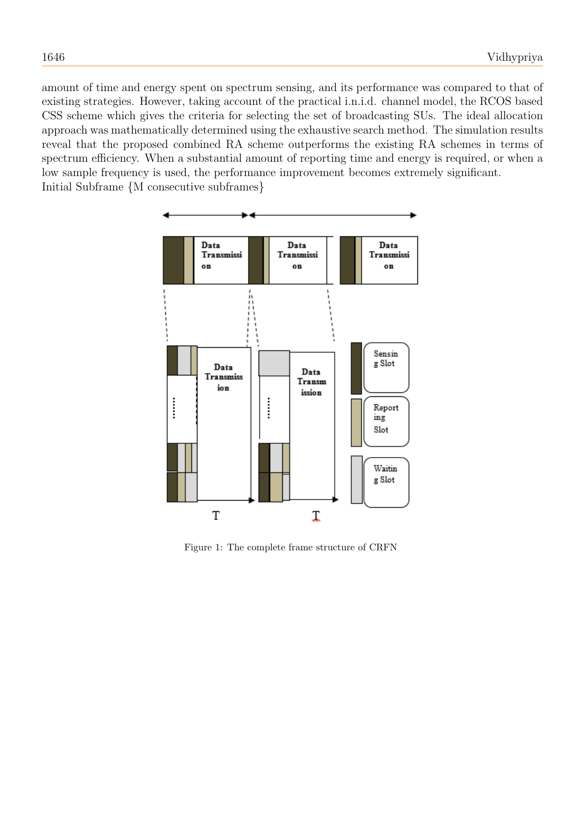amount of time and energy spent on spectrum sensing, and its performance was compared to that of existing strategies. However, taking account of the practical i.n.i.d. channel model, the RCOS based CSS scheme which gives the criteria for selecting the set of broadcasting SUs. The ideal allocation approach was mathematically determined using the exhaustive search method. The simulation results reveal that the proposed combined RA scheme outperforms the existing RA schemes in terms of spectrum efficiency. When a substantial amount of reporting time and energy is required, or when a low sample frequency is used, the performance improvement becomes extremely significant. Initial Subframe {M consecutive subframes}



<span id="page-7-0"></span>Figure 1: The complete frame structure of CRFN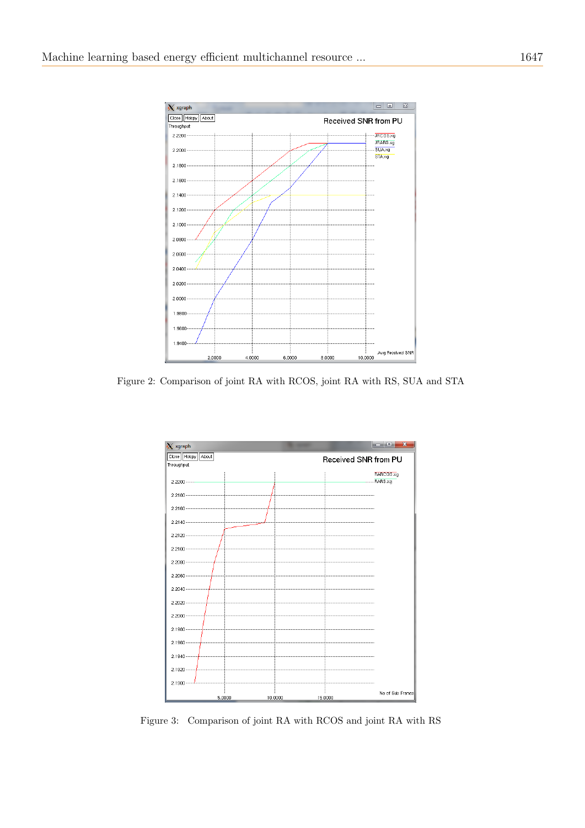

Figure 2: Comparison of joint RA with RCOS, joint RA with RS, SUA and STA

<span id="page-8-0"></span>

<span id="page-8-1"></span>Figure 3: Comparison of joint RA with RCOS and joint RA with RS